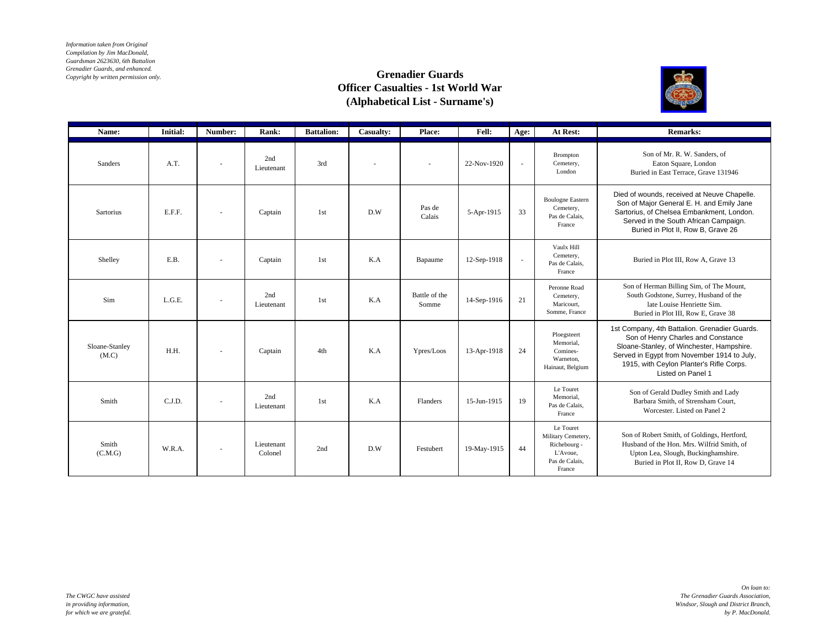*Information taken from Original Compilation by Jim MacDonald, Guardsman 2623630, 6th Battalion Grenadier Guards, and enhanced. Copyright by written permission only.*

## **Grenadier Guards Officer Casualties - 1st World War (Alphabetical List - Surname's)**



| Name:                   | <b>Initial:</b> | Number:                  | Rank:                 | <b>Battalion:</b> | Casualty: | Place:                   | <b>Fell:</b> | Age:                     | At Rest:                                                                                | <b>Remarks:</b>                                                                                                                                                                                                                                  |
|-------------------------|-----------------|--------------------------|-----------------------|-------------------|-----------|--------------------------|--------------|--------------------------|-----------------------------------------------------------------------------------------|--------------------------------------------------------------------------------------------------------------------------------------------------------------------------------------------------------------------------------------------------|
| Sanders                 | A.T.            |                          | 2nd<br>Lieutenant     | 3rd               |           | $\overline{\phantom{a}}$ | 22-Nov-1920  | $\overline{\phantom{a}}$ | Brompton<br>Cemetery,<br>London                                                         | Son of Mr. R. W. Sanders, of<br>Eaton Square, London<br>Buried in East Terrace, Grave 131946                                                                                                                                                     |
| Sartorius               | E.F.F.          | $\overline{\phantom{a}}$ | Captain               | 1st               | D.W       | Pas de<br>Calais         | 5-Apr-1915   | 33                       | <b>Boulogne Eastern</b><br>Cemetery,<br>Pas de Calais,<br>France                        | Died of wounds, received at Neuve Chapelle.<br>Son of Major General E. H. and Emily Jane<br>Sartorius, of Chelsea Embankment, London.<br>Served in the South African Campaign.<br>Buried in Plot II, Row B, Grave 26                             |
| Shelley                 | E.B.            |                          | Captain               | 1st               | K.A       | Bapaume                  | 12-Sep-1918  | $\sim$                   | Vaulx Hill<br>Cemetery,<br>Pas de Calais.<br>France                                     | Buried in Plot III, Row A, Grave 13                                                                                                                                                                                                              |
| Sim                     | L.G.E.          | $\sim$                   | 2nd<br>Lieutenant     | 1st               | K.A       | Battle of the<br>Somme   | 14-Sep-1916  | 21                       | Peronne Road<br>Cemetery,<br>Maricourt,<br>Somme, France                                | Son of Herman Billing Sim, of The Mount,<br>South Godstone, Surrey, Husband of the<br>late Louise Henriette Sim.<br>Buried in Plot III, Row E, Grave 38                                                                                          |
| Sloane-Stanley<br>(M.C) | H.H.            |                          | Captain               | 4th               | K.A       | Ypres/Loos               | 13-Apr-1918  | 24                       | Ploegsteert<br>Memorial.<br>Comines-<br>Warneton,<br>Hainaut, Belgium                   | 1st Company, 4th Battalion. Grenadier Guards.<br>Son of Henry Charles and Constance<br>Sloane-Stanley, of Winchester, Hampshire.<br>Served in Egypt from November 1914 to July,<br>1915, with Ceylon Planter's Rifle Corps.<br>Listed on Panel 1 |
| Smith                   | C.J.D.          |                          | 2nd<br>Lieutenant     | 1st               | K.A       | Flanders                 | 15-Jun-1915  | 19                       | Le Touret<br>Memorial.<br>Pas de Calais,<br>France                                      | Son of Gerald Dudley Smith and Lady<br>Barbara Smith, of Strensham Court,<br>Worcester, Listed on Panel 2                                                                                                                                        |
| Smith<br>(C.M.G)        | W.R.A.          | $\overline{\phantom{a}}$ | Lieutenant<br>Colonel | 2nd               | D.W       | Festubert                | 19-May-1915  | 44                       | Le Touret<br>Military Cemetery,<br>Richebourg -<br>L'Avoue,<br>Pas de Calais,<br>France | Son of Robert Smith, of Goldings, Hertford,<br>Husband of the Hon. Mrs. Wilfrid Smith, of<br>Upton Lea, Slough, Buckinghamshire.<br>Buried in Plot II. Row D. Grave 14                                                                           |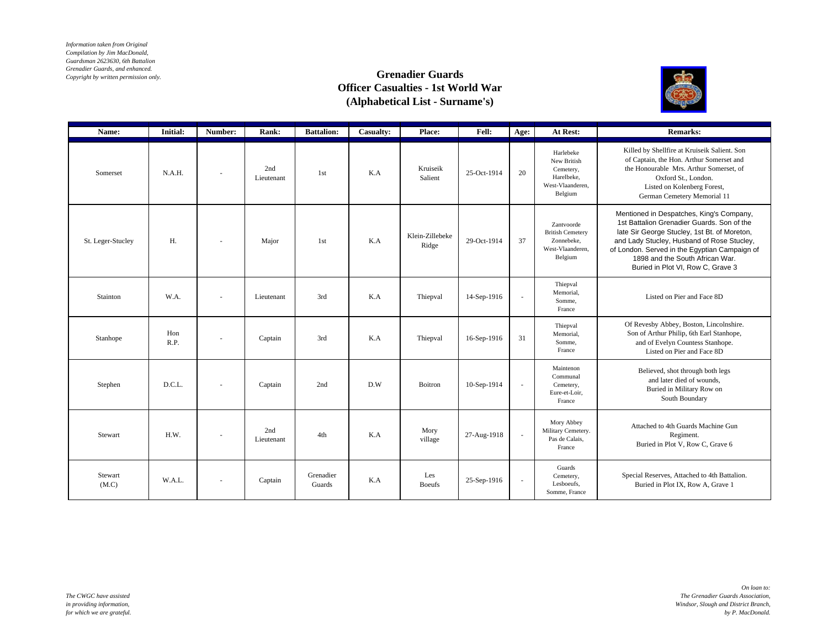*Information taken from Original Compilation by Jim MacDonald, Guardsman 2623630, 6th Battalion Grenadier Guards, and enhanced. Copyright by written permission only.*

## **Grenadier Guards Officer Casualties - 1st World War (Alphabetical List - Surname's)**



| Name:             | <b>Initial:</b> | Number:                  | Rank:             | <b>Battalion:</b>   | Casualty: | Place:                   | Fell:       | Age:                     | At Rest:                                                                           | <b>Remarks:</b>                                                                                                                                                                                                                                                                                               |
|-------------------|-----------------|--------------------------|-------------------|---------------------|-----------|--------------------------|-------------|--------------------------|------------------------------------------------------------------------------------|---------------------------------------------------------------------------------------------------------------------------------------------------------------------------------------------------------------------------------------------------------------------------------------------------------------|
| Somerset          | N.A.H.          | $\sim$                   | 2nd<br>Lieutenant | 1st                 | K.A       | Kruiseik<br>Salient      | 25-Oct-1914 | 20                       | Harlebeke<br>New British<br>Cemetery,<br>Harelbeke,<br>West-Vlaanderen.<br>Belgium | Killed by Shellfire at Kruiseik Salient. Son<br>of Captain, the Hon. Arthur Somerset and<br>the Honourable Mrs. Arthur Somerset, of<br>Oxford St., London.<br>Listed on Kolenberg Forest,<br>German Cemetery Memorial 11                                                                                      |
| St. Leger-Stucley | $H$ .           | $\overline{\phantom{a}}$ | Major             | 1st                 | K.A       | Klein-Zillebeke<br>Ridge | 29-Oct-1914 | 37                       | Zantvoorde<br><b>British Cemetery</b><br>Zonnebeke.<br>West-Vlaanderen,<br>Belgium | Mentioned in Despatches, King's Company,<br>1st Battalion Grenadier Guards. Son of the<br>late Sir George Stucley, 1st Bt. of Moreton,<br>and Lady Stucley, Husband of Rose Stucley,<br>of London. Served in the Egyptian Campaign of<br>1898 and the South African War.<br>Buried in Plot VI, Row C, Grave 3 |
| Stainton          | W.A.            | $\overline{\phantom{a}}$ | Lieutenant        | 3rd                 | K.A       | Thiepval                 | 14-Sep-1916 | $\overline{\phantom{a}}$ | Thiepval<br>Memorial.<br>Somme.<br>France                                          | Listed on Pier and Face 8D                                                                                                                                                                                                                                                                                    |
| Stanhope          | Hon<br>R.P.     | $\sim$                   | Captain           | 3rd                 | K.A       | Thiepval                 | 16-Sep-1916 | 31                       | Thiepval<br>Memorial.<br>Somme.<br>France                                          | Of Revesby Abbey, Boston, Lincolnshire.<br>Son of Arthur Philip, 6th Earl Stanhope,<br>and of Evelyn Countess Stanhope.<br>Listed on Pier and Face 8D                                                                                                                                                         |
| Stephen           | D.C.L.          | $\overline{\phantom{a}}$ | Captain           | 2nd                 | D.W       | Boitron                  | 10-Sep-1914 | ×.                       | Maintenon<br>Communal<br>Cemetery,<br>Eure-et-Loir,<br>France                      | Believed, shot through both legs<br>and later died of wounds,<br>Buried in Military Row on<br>South Boundary                                                                                                                                                                                                  |
| Stewart           | H.W.            |                          | 2nd<br>Lieutenant | 4th                 | K.A       | Mory<br>village          | 27-Aug-1918 | ٠                        | Mory Abbey<br>Military Cemetery.<br>Pas de Calais,<br>France                       | Attached to 4th Guards Machine Gun<br>Regiment.<br>Buried in Plot V, Row C, Grave 6                                                                                                                                                                                                                           |
| Stewart<br>(M.C)  | W.A.L.          | $\overline{\phantom{a}}$ | Captain           | Grenadier<br>Guards | K.A       | Les<br><b>Boeufs</b>     | 25-Sep-1916 | ٠                        | Guards<br>Cemetery,<br>Lesboeufs.<br>Somme, France                                 | Special Reserves, Attached to 4th Battalion.<br>Buried in Plot IX, Row A, Grave 1                                                                                                                                                                                                                             |